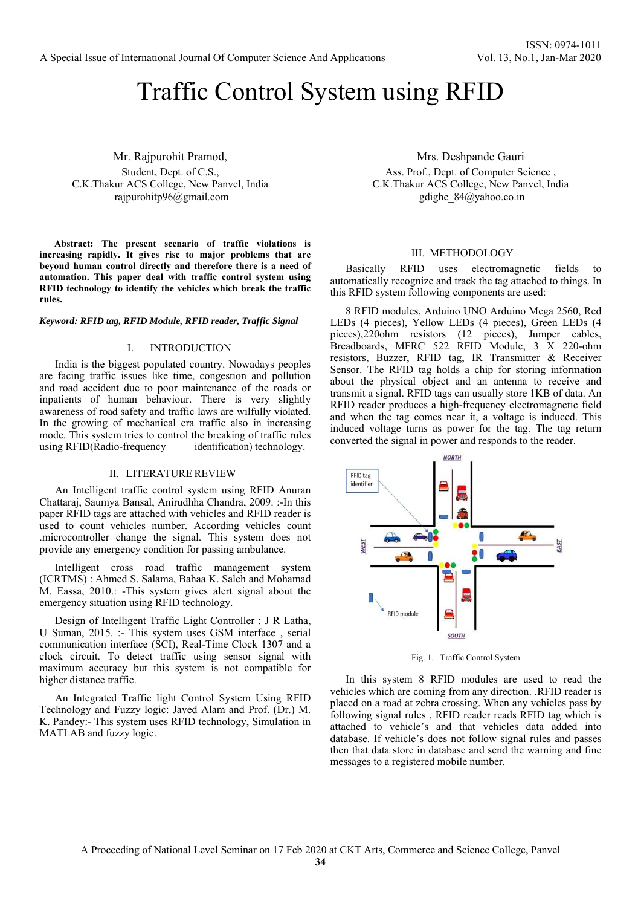# Traffic Control System using RFID

Mr. Rajpurohit Pramod, Student, Dept. of C.S., C.K.Thakur ACS College, New Panvel, India rajpurohitp96@gmail.com

**Abstract: The present scenario of traffic violations is increasing rapidly. It gives rise to major problems that are beyond human control directly and therefore there is a need of automation. This paper deal with traffic control system using RFID technology to identify the vehicles which break the traffic rules.** 

*Keyword: RFID tag, RFID Module, RFID reader, Traffic Signal* 

## I. INTRODUCTION

India is the biggest populated country. Nowadays peoples are facing traffic issues like time, congestion and pollution and road accident due to poor maintenance of the roads or inpatients of human behaviour. There is very slightly awareness of road safety and traffic laws are wilfully violated. In the growing of mechanical era traffic also in increasing mode. This system tries to control the breaking of traffic rules using RFID(Radio-frequency identification) technology.

#### II. LITERATURE REVIEW

An Intelligent traffic control system using RFID Anuran Chattaraj, Saumya Bansal, Anirudhha Chandra, 2009. :-In this paper RFID tags are attached with vehicles and RFID reader is used to count vehicles number. According vehicles count .microcontroller change the signal. This system does not provide any emergency condition for passing ambulance.

Intelligent cross road traffic management system (ICRTMS) : Ahmed S. Salama, Bahaa K. Saleh and Mohamad M. Eassa, 2010.: -This system gives alert signal about the emergency situation using RFID technology.

Design of Intelligent Traffic Light Controller : J R Latha, U Suman, 2015. :- This system uses GSM interface , serial communication interface (SCI), Real-Time Clock 1307 and a clock circuit. To detect traffic using sensor signal with maximum accuracy but this system is not compatible for higher distance traffic.

An Integrated Traffic light Control System Using RFID Technology and Fuzzy logic: Javed Alam and Prof. (Dr.) M. K. Pandey:- This system uses RFID technology, Simulation in MATLAB and fuzzy logic.

Mrs. Deshpande Gauri

Ass. Prof., Dept. of Computer Science , C.K.Thakur ACS College, New Panvel, India gdighe\_84@yahoo.co.in

### III. METHODOLOGY

Basically RFID uses electromagnetic fields to automatically recognize and track the tag attached to things. In this RFID system following components are used:

8 RFID modules, Arduino UNO Arduino Mega 2560, Red LEDs (4 pieces), Yellow LEDs (4 pieces), Green LEDs (4 pieces),220ohm resistors (12 pieces), Jumper cables, Breadboards, MFRC 522 RFID Module, 3 X 220-ohm resistors, Buzzer, RFID tag, IR Transmitter & Receiver Sensor. The RFID tag holds a chip for storing information about the physical object and an antenna to receive and transmit a signal. RFID tags can usually store 1KB of data. An RFID reader produces a high-frequency electromagnetic field and when the tag comes near it, a voltage is induced. This induced voltage turns as power for the tag. The tag return converted the signal in power and responds to the reader.



Fig. 1. Traffic Control System

In this system 8 RFID modules are used to read the vehicles which are coming from any direction. .RFID reader is placed on a road at zebra crossing. When any vehicles pass by following signal rules , RFID reader reads RFID tag which is attached to vehicle's and that vehicles data added into database. If vehicle's does not follow signal rules and passes then that data store in database and send the warning and fine messages to a registered mobile number.